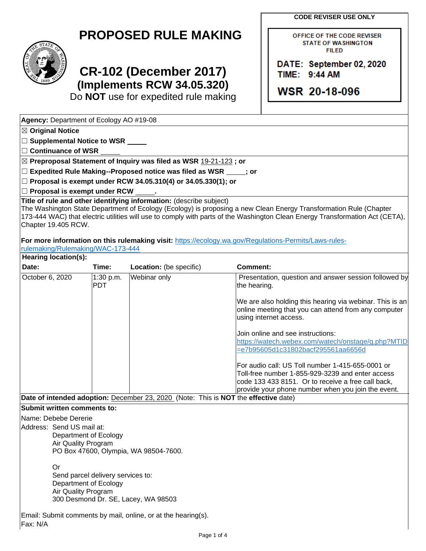**CODE REVISER USE ONLY**

| <b>PROPOSED RULE MAKING</b> |  |  |
|-----------------------------|--|--|
|-----------------------------|--|--|



**Agency:** Department of Ecology AO #19-08

## **CR-102 (December 2017) (Implements RCW 34.05.320)**

Do **NOT** use for expedited rule making

OFFICE OF THE CODE REVISER **STATE OF WASHINGTON FILED** 

DATE: September 02, 2020 TIME: 9:44 AM

**WSR 20-18-096** 

| $\boxtimes$ Original Notice                                                                       |                                    |                                                                                     |                                                                                                                                                                                                                                                   |  |
|---------------------------------------------------------------------------------------------------|------------------------------------|-------------------------------------------------------------------------------------|---------------------------------------------------------------------------------------------------------------------------------------------------------------------------------------------------------------------------------------------------|--|
|                                                                                                   | □ Supplemental Notice to WSR _____ |                                                                                     |                                                                                                                                                                                                                                                   |  |
| $\Box$ Continuance of WSR $\_$                                                                    |                                    |                                                                                     |                                                                                                                                                                                                                                                   |  |
|                                                                                                   |                                    | ⊠ Preproposal Statement of Inquiry was filed as WSR 19-21-123; or                   |                                                                                                                                                                                                                                                   |  |
|                                                                                                   |                                    | □ Expedited Rule Making--Proposed notice was filed as WSR _____; or                 |                                                                                                                                                                                                                                                   |  |
|                                                                                                   |                                    | $\Box$ Proposal is exempt under RCW 34.05.310(4) or 34.05.330(1); or                |                                                                                                                                                                                                                                                   |  |
| $\Box$ Proposal is exempt under RCW $\_\_\_\$ .                                                   |                                    |                                                                                     |                                                                                                                                                                                                                                                   |  |
| Chapter 19.405 RCW.                                                                               |                                    | Title of rule and other identifying information: (describe subject)                 | The Washington State Department of Ecology (Ecology) is proposing a new Clean Energy Transformation Rule (Chapter<br>173-444 WAC) that electric utilities will use to comply with parts of the Washington Clean Energy Transformation Act (CETA), |  |
| rulemaking/Rulemaking/WAC-173-444                                                                 |                                    |                                                                                     | For more information on this rulemaking visit: https://ecology.wa.gov/Regulations-Permits/Laws-rules-                                                                                                                                             |  |
| Hearing location(s):                                                                              |                                    |                                                                                     |                                                                                                                                                                                                                                                   |  |
| Date:                                                                                             | Time:                              | Location: (be specific)                                                             | <b>Comment:</b>                                                                                                                                                                                                                                   |  |
| October 6, 2020                                                                                   | 1:30 p.m.<br><b>PDT</b>            | Webinar only                                                                        | Presentation, question and answer session followed by<br>the hearing.                                                                                                                                                                             |  |
|                                                                                                   |                                    |                                                                                     | We are also holding this hearing via webinar. This is an<br>online meeting that you can attend from any computer<br>using internet access.                                                                                                        |  |
|                                                                                                   |                                    |                                                                                     | Join online and see instructions:<br>https://watech.webex.com/watech/onstage/g.php?MTID<br>=e7b95605d1c31802bacf295561aa6656d                                                                                                                     |  |
|                                                                                                   |                                    |                                                                                     | For audio call: US Toll number 1-415-655-0001 or<br>Toll-free number 1-855-929-3239 and enter access<br>code 133 433 8151. Or to receive a free call back,<br>provide your phone number when you join the event.                                  |  |
|                                                                                                   |                                    | Date of intended adoption: December 23, 2020 (Note: This is NOT the effective date) |                                                                                                                                                                                                                                                   |  |
| <b>Submit written comments to:</b>                                                                |                                    |                                                                                     |                                                                                                                                                                                                                                                   |  |
| Name: Debebe Dererie<br>Address: Send US mail at:<br>Department of Ecology<br>Air Quality Program |                                    | PO Box 47600, Olympia, WA 98504-7600.                                               |                                                                                                                                                                                                                                                   |  |
| Or<br>Send parcel delivery services to:<br>Department of Ecology<br>Air Quality Program           |                                    | 300 Desmond Dr. SE, Lacey, WA 98503                                                 |                                                                                                                                                                                                                                                   |  |
| Fax: N/A                                                                                          |                                    | Email: Submit comments by mail, online, or at the hearing(s).                       |                                                                                                                                                                                                                                                   |  |
|                                                                                                   |                                    | Page 1 of 4                                                                         |                                                                                                                                                                                                                                                   |  |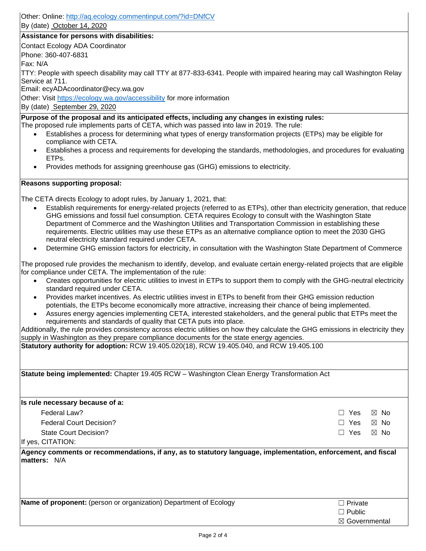Other: Online: <http://aq.ecology.commentinput.com/?id=DNfCV>

By (date) October 14, 2020

## **Assistance for persons with disabilities:**

Contact Ecology ADA Coordinator

Phone: 360-407-6831

Fax: N/A

TTY: People with speech disability may call TTY at 877-833-6341. People with impaired hearing may call Washington Relay Service at 711.

Email: ecyADAcoordinator@ecy.wa.gov

Other: Visit<https://ecology.wa.gov/accessibility> for more information

By (date) September 29, 2020

**Purpose of the proposal and its anticipated effects, including any changes in existing rules:** 

- The proposed rule implements parts of CETA, which was passed into law in 2019. The rule:
	- Establishes a process for determining what types of energy transformation projects (ETPs) may be eligible for compliance with CETA.
	- Establishes a process and requirements for developing the standards, methodologies, and procedures for evaluating ETPs.
	- Provides methods for assigning greenhouse gas (GHG) emissions to electricity.

## **Reasons supporting proposal:**

The CETA directs Ecology to adopt rules, by January 1, 2021, that:

- Establish requirements for energy-related projects (referred to as ETPs), other than electricity generation, that reduce GHG emissions and fossil fuel consumption. CETA requires Ecology to consult with the Washington State Department of Commerce and the Washington Utilities and Transportation Commission in establishing these requirements. Electric utilities may use these ETPs as an alternative compliance option to meet the 2030 GHG neutral electricity standard required under CETA.
- Determine GHG emission factors for electricity, in consultation with the Washington State Department of Commerce

The proposed rule provides the mechanism to identify, develop, and evaluate certain energy-related projects that are eligible for compliance under CETA. The implementation of the rule:

- Creates opportunities for electric utilities to invest in ETPs to support them to comply with the GHG-neutral electricity standard required under CETA.
- Provides market incentives. As electric utilities invest in ETPs to benefit from their GHG emission reduction potentials, the ETPs become economically more attractive, increasing their chance of being implemented.
- Assures energy agencies implementing CETA, interested stakeholders, and the general public that ETPs meet the requirements and standards of quality that CETA puts into place.

Additionally, the rule provides consistency across electric utilities on how they calculate the GHG emissions in electricity they supply in Washington as they prepare compliance documents for the state energy agencies.

**Statutory authority for adoption:** RCW 19.405.020(18), RCW 19.405.040, and RCW 19.405.100

**Statute being implemented:** Chapter 19.405 RCW – Washington Clean Energy Transformation Act

**Is rule necessary because of a:**

| Federal Law?                   | □ Yes ⊠ No |      |
|--------------------------------|------------|------|
| <b>Federal Court Decision?</b> | □ Yes ⊠ No |      |
| State Court Decision?          | □ Yes      | ⊠ No |
| If yes, CITATION:              |            |      |

**Agency comments or recommendations, if any, as to statutory language, implementation, enforcement, and fiscal matters:** N/A

**Name of proponent:** (person or organization) Department of Ecology **Ⅰ Private** □ Private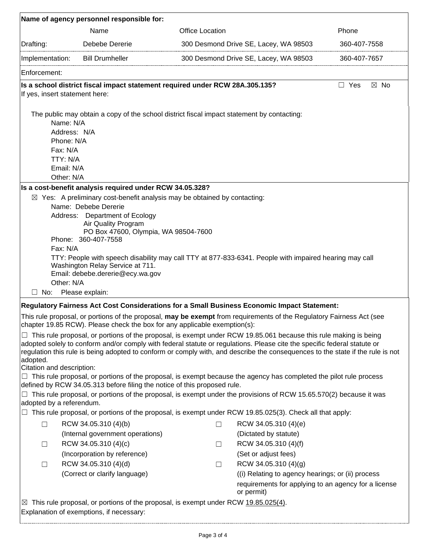|                                | Name of agency personnel responsible for:                                                                                                                                                                                                                  |                        |                                                                    |                              |
|--------------------------------|------------------------------------------------------------------------------------------------------------------------------------------------------------------------------------------------------------------------------------------------------------|------------------------|--------------------------------------------------------------------|------------------------------|
|                                | Name                                                                                                                                                                                                                                                       | <b>Office Location</b> |                                                                    | Phone                        |
| Drafting:                      | Debebe Dererie                                                                                                                                                                                                                                             |                        | 300 Desmond Drive SE, Lacey, WA 98503                              | 360-407-7558                 |
| Implementation:                | <b>Bill Drumheller</b>                                                                                                                                                                                                                                     |                        | 300 Desmond Drive SE, Lacey, WA 98503                              | 360-407-7657                 |
| Enforcement:                   |                                                                                                                                                                                                                                                            |                        |                                                                    |                              |
| If yes, insert statement here: | Is a school district fiscal impact statement required under RCW 28A.305.135?                                                                                                                                                                               |                        |                                                                    | $\boxtimes$ No<br>$\Box$ Yes |
| Name: N/A                      | The public may obtain a copy of the school district fiscal impact statement by contacting:                                                                                                                                                                 |                        |                                                                    |                              |
| Address: N/A<br>Phone: N/A     |                                                                                                                                                                                                                                                            |                        |                                                                    |                              |
| Fax: N/A                       |                                                                                                                                                                                                                                                            |                        |                                                                    |                              |
| TTY: N/A                       |                                                                                                                                                                                                                                                            |                        |                                                                    |                              |
| Email: N/A                     |                                                                                                                                                                                                                                                            |                        |                                                                    |                              |
| Other: N/A                     |                                                                                                                                                                                                                                                            |                        |                                                                    |                              |
|                                | Is a cost-benefit analysis required under RCW 34.05.328?                                                                                                                                                                                                   |                        |                                                                    |                              |
|                                | $\boxtimes$ Yes: A preliminary cost-benefit analysis may be obtained by contacting:<br>Name: Debebe Dererie                                                                                                                                                |                        |                                                                    |                              |
|                                | Address: Department of Ecology<br>Air Quality Program                                                                                                                                                                                                      |                        |                                                                    |                              |
|                                | PO Box 47600, Olympia, WA 98504-7600                                                                                                                                                                                                                       |                        |                                                                    |                              |
| Fax: N/A                       | Phone: 360-407-7558                                                                                                                                                                                                                                        |                        |                                                                    |                              |
|                                | TTY: People with speech disability may call TTY at 877-833-6341. People with impaired hearing may call                                                                                                                                                     |                        |                                                                    |                              |
| Other: N/A                     | Washington Relay Service at 711.<br>Email: debebe.dererie@ecy.wa.gov                                                                                                                                                                                       |                        |                                                                    |                              |
| $\Box$ No: Please explain:     |                                                                                                                                                                                                                                                            |                        |                                                                    |                              |
|                                | Regulatory Fairness Act Cost Considerations for a Small Business Economic Impact Statement:                                                                                                                                                                |                        |                                                                    |                              |
|                                | This rule proposal, or portions of the proposal, may be exempt from requirements of the Regulatory Fairness Act (see<br>chapter 19.85 RCW). Please check the box for any applicable exemption(s):                                                          |                        |                                                                    |                              |
|                                | $\Box$ This rule proposal, or portions of the proposal, is exempt under RCW 19.85.061 because this rule making is being                                                                                                                                    |                        |                                                                    |                              |
| adopted.                       | adopted solely to conform and/or comply with federal statute or regulations. Please cite the specific federal statute or<br>regulation this rule is being adopted to conform or comply with, and describe the consequences to the state if the rule is not |                        |                                                                    |                              |
| Citation and description:      |                                                                                                                                                                                                                                                            |                        |                                                                    |                              |
|                                | $\Box$ This rule proposal, or portions of the proposal, is exempt because the agency has completed the pilot rule process<br>defined by RCW 34.05.313 before filing the notice of this proposed rule.                                                      |                        |                                                                    |                              |
|                                | This rule proposal, or portions of the proposal, is exempt under the provisions of RCW 15.65.570(2) because it was                                                                                                                                         |                        |                                                                    |                              |
| adopted by a referendum.       |                                                                                                                                                                                                                                                            |                        |                                                                    |                              |
|                                | $\Box$ This rule proposal, or portions of the proposal, is exempt under RCW 19.85.025(3). Check all that apply:                                                                                                                                            |                        |                                                                    |                              |
| $\Box$                         | RCW 34.05.310 (4)(b)                                                                                                                                                                                                                                       | $\Box$                 | RCW 34.05.310 (4)(e)                                               |                              |
|                                | (Internal government operations)                                                                                                                                                                                                                           |                        | (Dictated by statute)                                              |                              |
| $\Box$                         | RCW 34.05.310 (4)(c)                                                                                                                                                                                                                                       | $\Box$                 | RCW 34.05.310 (4)(f)                                               |                              |
|                                | (Incorporation by reference)                                                                                                                                                                                                                               |                        | (Set or adjust fees)                                               |                              |
| $\Box$                         | RCW 34.05.310 (4)(d)                                                                                                                                                                                                                                       | □                      | RCW 34.05.310 (4)(g)                                               |                              |
|                                | (Correct or clarify language)                                                                                                                                                                                                                              |                        | ((i) Relating to agency hearings; or (ii) process                  |                              |
|                                |                                                                                                                                                                                                                                                            |                        | requirements for applying to an agency for a license<br>or permit) |                              |
| ⊠                              | This rule proposal, or portions of the proposal, is exempt under RCW 19.85.025(4).<br>Explanation of exemptions, if necessary:                                                                                                                             |                        |                                                                    |                              |
|                                |                                                                                                                                                                                                                                                            |                        |                                                                    |                              |